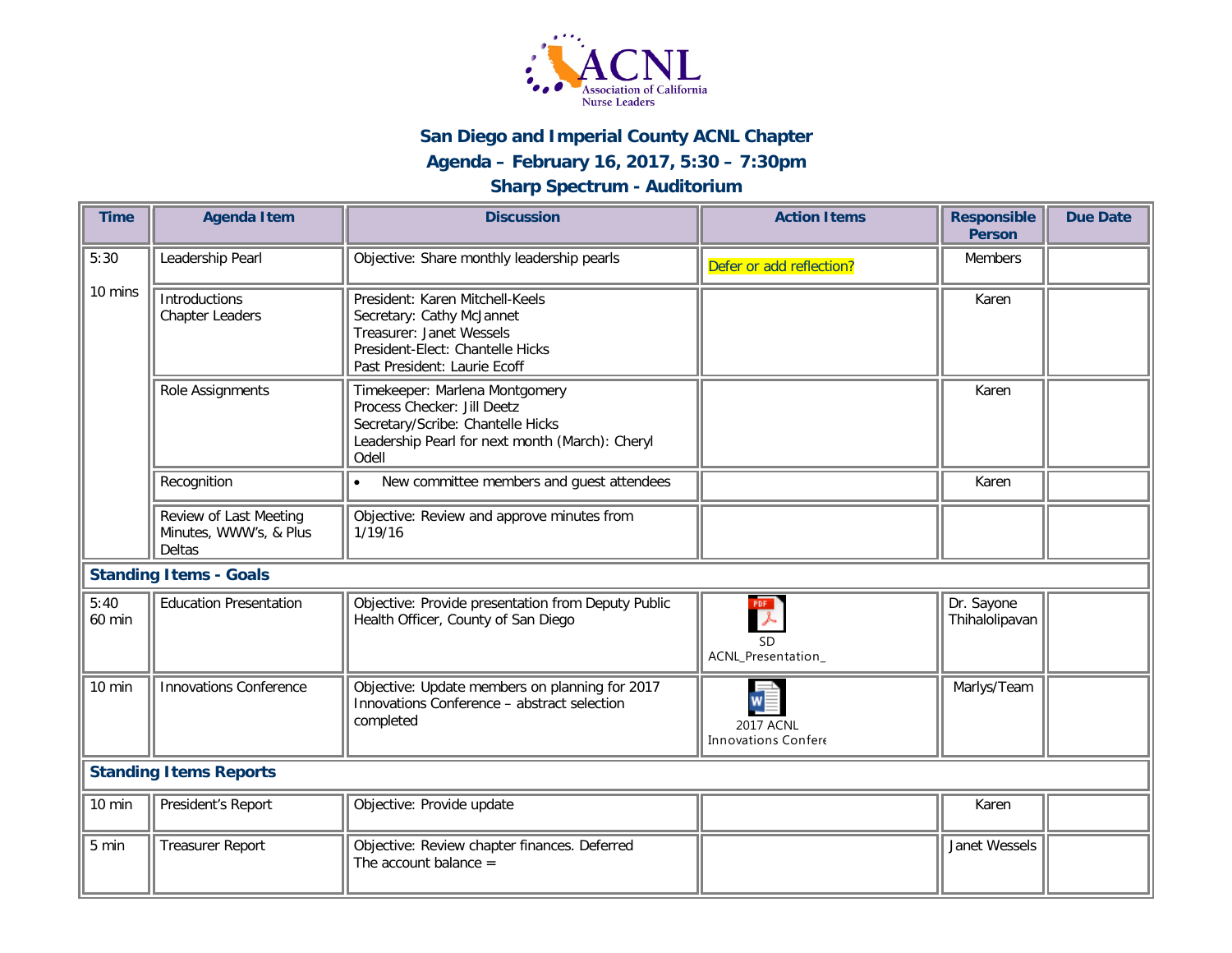

## **San Diego and Imperial County ACNL Chapter**

## **Agenda – February 16, 2017, 5:30 – 7:30pm**

## **Sharp Spectrum - Auditorium**

| <b>Time</b>                   | <b>Agenda Item</b>                                         | <b>Discussion</b>                                                                                                                                              | <b>Action Items</b>                                      | <b>Responsible</b><br><b>Person</b> | <b>Due Date</b> |
|-------------------------------|------------------------------------------------------------|----------------------------------------------------------------------------------------------------------------------------------------------------------------|----------------------------------------------------------|-------------------------------------|-----------------|
| 5:30                          | Leadership Pearl                                           | Objective: Share monthly leadership pearls                                                                                                                     | Defer or add reflection?                                 | <b>Members</b>                      |                 |
| 10 mins                       | <b>Introductions</b><br><b>Chapter Leaders</b>             | President: Karen Mitchell-Keels<br>Secretary: Cathy McJannet<br>Treasurer: Janet Wessels<br>President-Elect: Chantelle Hicks<br>Past President: Laurie Ecoff   |                                                          | Karen                               |                 |
|                               | Role Assignments                                           | Timekeeper: Marlena Montgomery<br>Process Checker: Jill Deetz<br>Secretary/Scribe: Chantelle Hicks<br>Leadership Pearl for next month (March): Cheryl<br>Odell |                                                          | Karen                               |                 |
|                               | Recognition                                                | New committee members and guest attendees<br>$\bullet$                                                                                                         |                                                          | Karen                               |                 |
|                               | Review of Last Meeting<br>Minutes, WWW's, & Plus<br>Deltas | Objective: Review and approve minutes from<br>1/19/16                                                                                                          |                                                          |                                     |                 |
| <b>Standing Items - Goals</b> |                                                            |                                                                                                                                                                |                                                          |                                     |                 |
| 5:40<br>60 min                | <b>Education Presentation</b>                              | Objective: Provide presentation from Deputy Public<br>Health Officer, County of San Diego                                                                      | $\frac{PDF}{\lambda}$<br><b>SD</b><br>ACNL_Presentation_ | Dr. Sayone<br>Thihalolipavan        |                 |
| 10 min                        | <b>Innovations Conference</b>                              | Objective: Update members on planning for 2017<br>Innovations Conference - abstract selection<br>completed                                                     | <b>2017 ACNL</b><br><b>Innovations Confere</b>           | Marlys/Team                         |                 |
| <b>Standing Items Reports</b> |                                                            |                                                                                                                                                                |                                                          |                                     |                 |
| 10 min                        | President's Report                                         | Objective: Provide update                                                                                                                                      |                                                          | Karen                               |                 |
| 5 min                         | <b>Treasurer Report</b>                                    | Objective: Review chapter finances. Deferred<br>The account balance $=$                                                                                        |                                                          | Janet Wessels                       |                 |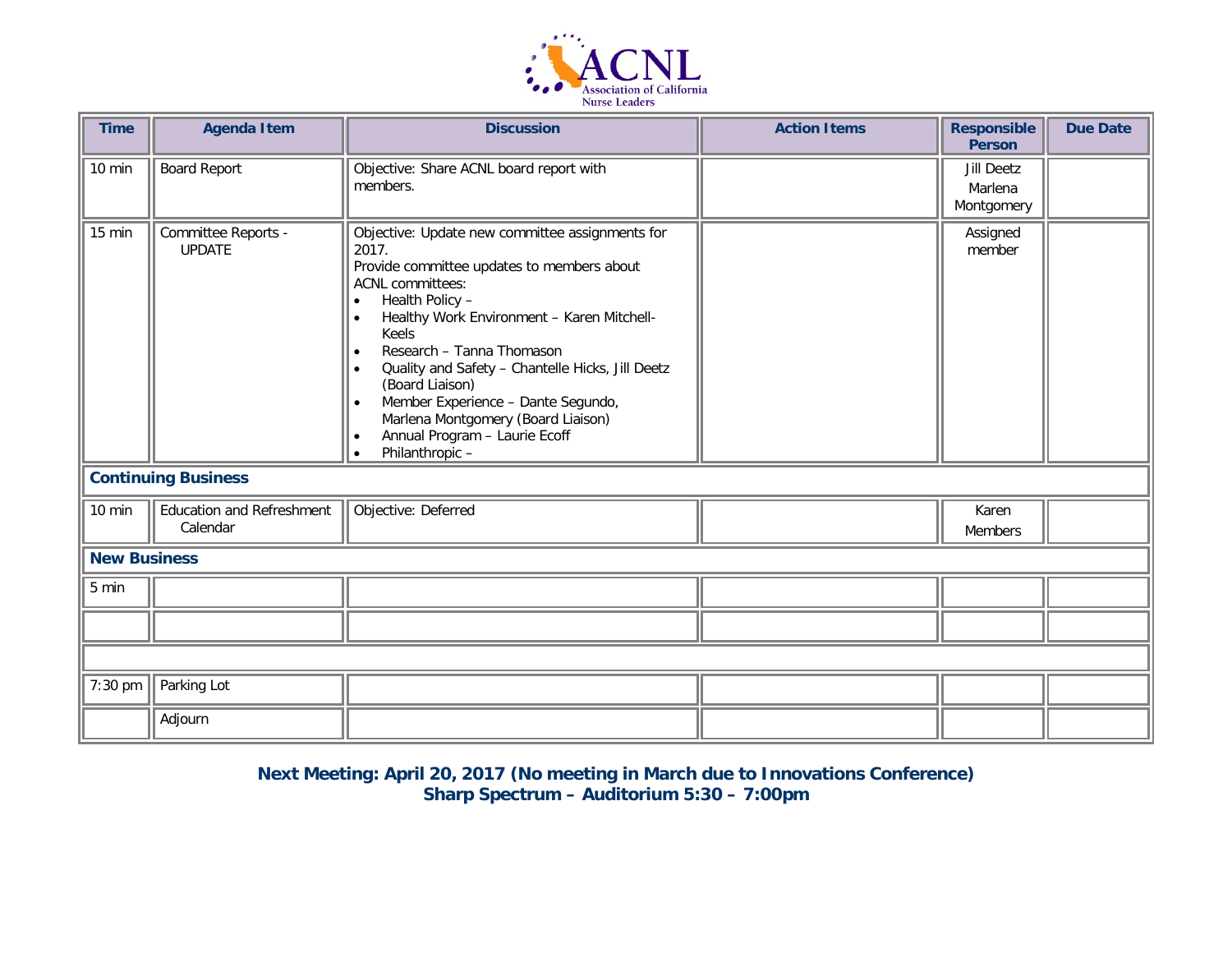

| <b>Time</b> | <b>Agenda Item</b>                           | <b>Discussion</b>                                                                                                                                                                                                                                                                                                                                                                                                                                                                      | <b>Action Items</b> | <b>Responsible</b><br><b>Person</b> | <b>Due Date</b> |  |
|-------------|----------------------------------------------|----------------------------------------------------------------------------------------------------------------------------------------------------------------------------------------------------------------------------------------------------------------------------------------------------------------------------------------------------------------------------------------------------------------------------------------------------------------------------------------|---------------------|-------------------------------------|-----------------|--|
| 10 min      | <b>Board Report</b>                          | Objective: Share ACNL board report with<br>members.                                                                                                                                                                                                                                                                                                                                                                                                                                    |                     | Jill Deetz<br>Marlena<br>Montgomery |                 |  |
| 15 min      | Committee Reports -<br><b>UPDATE</b>         | Objective: Update new committee assignments for<br>2017.<br>Provide committee updates to members about<br><b>ACNL committees:</b><br>Health Policy -<br>$\bullet$<br>Healthy Work Environment - Karen Mitchell-<br>$\bullet$<br>Keels<br>Research - Tanna Thomason<br>Quality and Safety - Chantelle Hicks, Jill Deetz<br>(Board Liaison)<br>Member Experience - Dante Segundo,<br>Marlena Montgomery (Board Liaison)<br>Annual Program - Laurie Ecoff<br>Philanthropic -<br>$\bullet$ |                     | Assigned<br>member                  |                 |  |
|             | <b>Continuing Business</b>                   |                                                                                                                                                                                                                                                                                                                                                                                                                                                                                        |                     |                                     |                 |  |
| 10 min      | <b>Education and Refreshment</b><br>Calendar | Objective: Deferred                                                                                                                                                                                                                                                                                                                                                                                                                                                                    |                     | Karen<br><b>Members</b>             |                 |  |
|             | <b>New Business</b>                          |                                                                                                                                                                                                                                                                                                                                                                                                                                                                                        |                     |                                     |                 |  |
| 5 min       |                                              |                                                                                                                                                                                                                                                                                                                                                                                                                                                                                        |                     |                                     |                 |  |
|             |                                              |                                                                                                                                                                                                                                                                                                                                                                                                                                                                                        |                     |                                     |                 |  |
|             |                                              |                                                                                                                                                                                                                                                                                                                                                                                                                                                                                        |                     |                                     |                 |  |
| 7:30 pm     | Parking Lot                                  |                                                                                                                                                                                                                                                                                                                                                                                                                                                                                        |                     |                                     |                 |  |
|             | Adjourn                                      |                                                                                                                                                                                                                                                                                                                                                                                                                                                                                        |                     |                                     |                 |  |

**Next Meeting: April 20, 2017 (No meeting in March due to Innovations Conference) Sharp Spectrum – Auditorium 5:30 – 7:00pm**